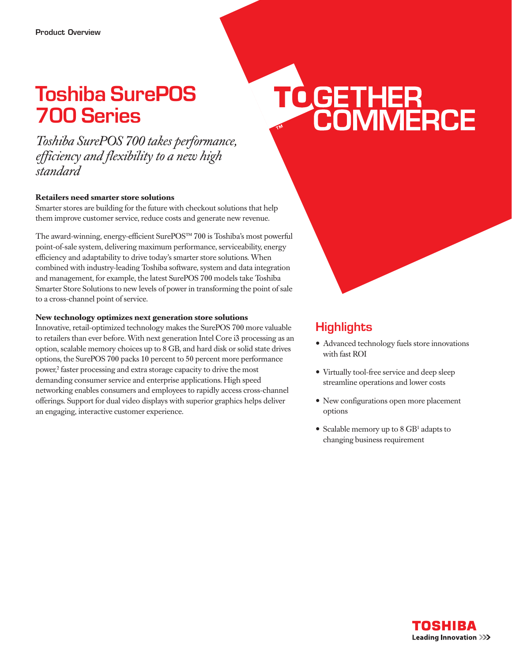# Toshiba SurePOS 700 Series

*Toshiba SurePOS 700 takes performance, efficiency and flexibility to a new high standard*

#### **Retailers need smarter store solutions**

Smarter stores are building for the future with checkout solutions that help them improve customer service, reduce costs and generate new revenue.

The award-winning, energy-efficient SurePOS™ 700 is Toshiba's most powerful point-of-sale system, delivering maximum performance, serviceability, energy efficiency and adaptability to drive today's smarter store solutions. When combined with industry-leading Toshiba software, system and data integration and management, for example, the latest SurePOS 700 models take Toshiba Smarter Store Solutions to new levels of power in transforming the point of sale to a cross-channel point of service.

#### **New technology optimizes next generation store solutions**

Innovative, retail-optimized technology makes the SurePOS 700 more valuable to retailers than ever before. With next generation Intel Core i3 processing as an option, scalable memory choices up to 8 GB, and hard disk or solid state drives options, the SurePOS 700 packs 10 percent to 50 percent more performance power,<sup>2</sup> faster processing and extra storage capacity to drive the most demanding consumer service and enterprise applications. High speed networking enables consumers and employees to rapidly access cross-channel offerings. Support for dual video displays with superior graphics helps deliver an engaging, interactive customer experience.

# TO GETHER<br>COMMERCE

## **Highlights**

- Advanced technology fuels store innovations with fast ROI
- Virtually tool-free service and deep sleep streamline operations and lower costs
- New configurations open more placement options
- Scalable memory up to 8 GB<sup>1</sup> adapts to changing business requirement

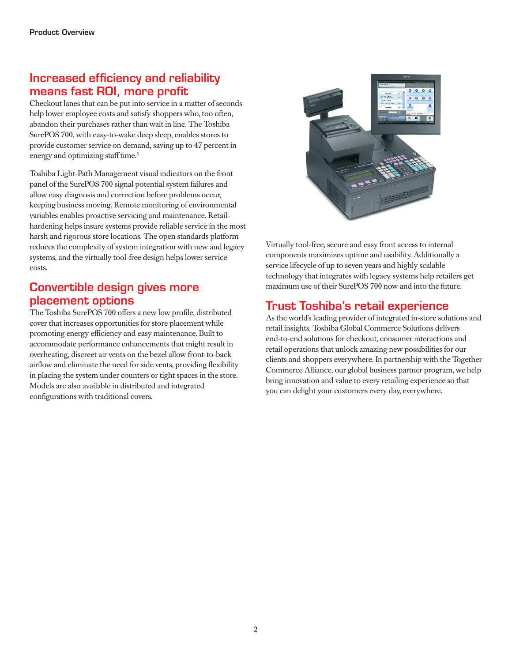# Increased efficiency and reliability means fast ROI, more profit

Checkout lanes that can be put into service in a matter of seconds help lower employee costs and satisfy shoppers who, too often, abandon their purchases rather than wait in line. The Toshiba SurePOS 700, with easy-to-wake deep sleep, enables stores to provide customer service on demand, saving up to 47 percent in energy and optimizing staff time.<sup>3</sup>

Toshiba Light-Path Management visual indicators on the front panel of the SurePOS 700 signal potential system failures and allow easy diagnosis and correction before problems occur, keeping business moving. Remote monitoring of environmental variables enables proactive servicing and maintenance. Retailhardening helps insure systems provide reliable service in the most harsh and rigorous store locations. The open standards platform reduces the complexity of system integration with new and legacy systems, and the virtually tool-free design helps lower service costs.

#### Convertible design gives more placement options

The Toshiba SurePOS 700 offers a new low profile, distributed cover that increases opportunities for store placement while promoting energy efficiency and easy maintenance. Built to accommodate performance enhancements that might result in overheating, discreet air vents on the bezel allow front-to-back airflow and eliminate the need for side vents, providing flexibility in placing the system under counters or tight spaces in the store. Models are also available in distributed and integrated configurations with traditional covers.



Virtually tool-free, secure and easy front access to internal components maximizes uptime and usability. Additionally a service lifecycle of up to seven years and highly scalable technology that integrates with legacy systems help retailers get maximum use of their SurePOS 700 now and into the future.

#### Trust Toshiba's retail experience

As the world's leading provider of integrated in-store solutions and retail insights, Toshiba Global Commerce Solutions delivers end-to-end solutions for checkout, consumer interactions and retail operations that unlock amazing new possibilities for our clients and shoppers everywhere. In partnership with the Together Commerce Alliance, our global business partner program, we help bring innovation and value to every retailing experience so that you can delight your customers every day, everywhere.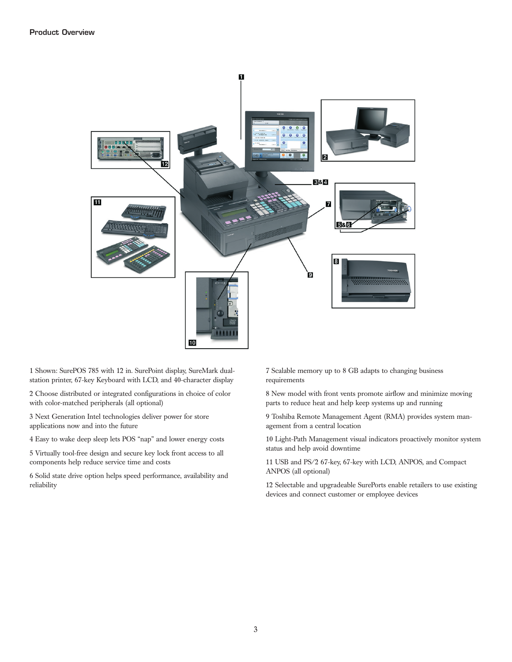

1 Shown: SurePOS 785 with 12 in. SurePoint display, SureMark dualstation printer, 67-key Keyboard with LCD, and 40-character display

2 Choose distributed or integrated configurations in choice of color with color-matched peripherals (all optional)

3 Next Generation Intel technologies deliver power for store applications now and into the future

4 Easy to wake deep sleep lets POS "nap" and lower energy costs

5 Virtually tool-free design and secure key lock front access to all components help reduce service time and costs

6 Solid state drive option helps speed performance, availability and reliability

7 Scalable memory up to 8 GB adapts to changing business requirements

8 New model with front vents promote airflow and minimize moving parts to reduce heat and help keep systems up and running

9 Toshiba Remote Management Agent (RMA) provides system management from a central location

10 Light-Path Management visual indicators proactively monitor system status and help avoid downtime

11 USB and PS/2 67-key, 67-key with LCD, ANPOS, and Compact ANPOS (all optional)

12 Selectable and upgradeable SurePorts enable retailers to use existing devices and connect customer or employee devices